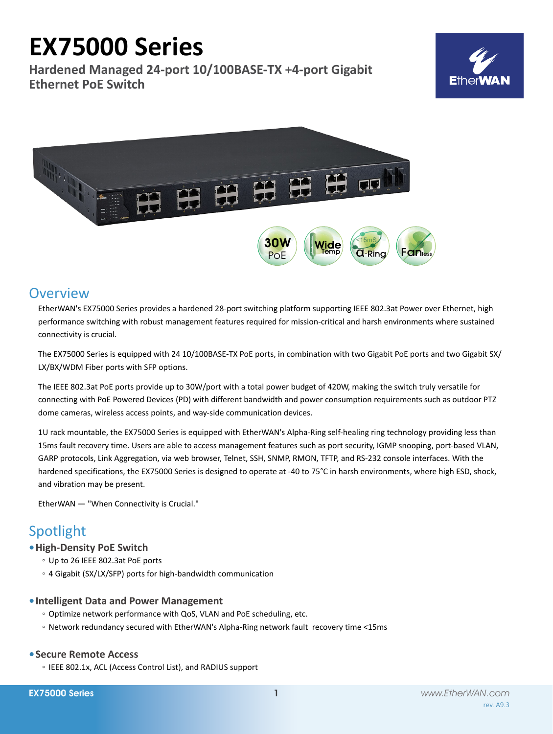# **EX75000 Series**

**Hardened Managed 24-port 10/100BASE-TX +4-port Gigabit Ethernet PoE Switch**





# **Overview**

EtherWAN's EX75000 Series provides a hardened 28-port switching platform supporting IEEE 802.3at Power over Ethernet, high performance switching with robust management features required for mission-critical and harsh environments where sustained connectivity is crucial.

The EX75000 Series is equipped with 24 10/100BASE-TX PoE ports, in combination with two Gigabit PoE ports and two Gigabit SX/ LX/BX/WDM Fiber ports with SFP options.

The IEEE 802.3at PoE ports provide up to 30W/port with a total power budget of 420W, making the switch truly versatile for connecting with PoE Powered Devices (PD) with different bandwidth and power consumption requirements such as outdoor PTZ dome cameras, wireless access points, and way-side communication devices.

1U rack mountable, the EX75000 Series is equipped with EtherWAN's Alpha-Ring self-healing ring technology providing less than 15ms fault recovery time. Users are able to access management features such as port security, IGMP snooping, port-based VLAN, GARP protocols, Link Aggregation, via web browser, Telnet, SSH, SNMP, RMON, TFTP, and RS-232 console interfaces. With the hardened specifications, the EX75000 Series is designed to operate at -40 to 75°C in harsh environments, where high ESD, shock, and vibration may be present.

EtherWAN — "When Connectivity is Crucial."

# Spotlight

# **• High-Density PoE Switch**

- Up to 26 IEEE 802.3at PoE ports
- 4 Gigabit (SX/LX/SFP) ports for high-bandwidth communication

# **• Intelligent Data and Power Management**

- Optimize network performance with QoS, VLAN and PoE scheduling, etc.
- Network redundancy secured with EtherWAN's Alpha-Ring network fault recovery time <15ms

# **• Secure Remote Access**

◦ IEEE 802.1x, ACL (Access Control List), and RADIUS support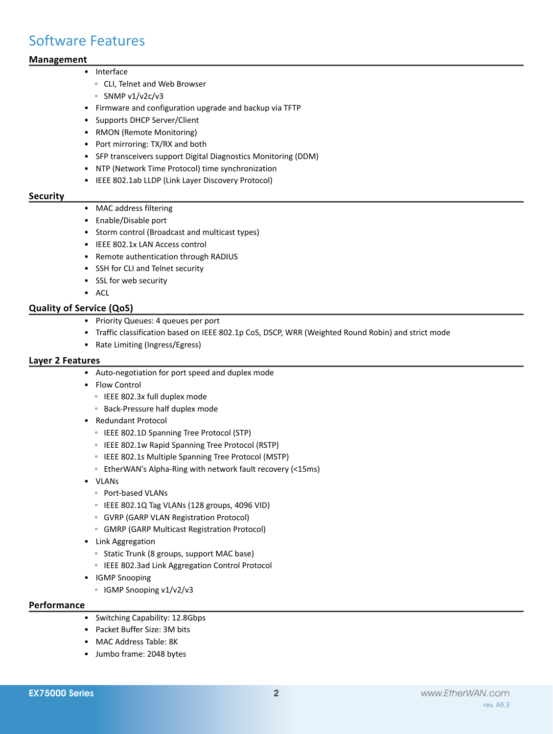# Software Features

# **Management**

# • Interface

- CLI, Telnet and Web Browser
- SNMP v1/v2c/v3
- • Firmware and configuration upgrade and backup via TFTP
- • Supports DHCP Server/Client
- • RMON (Remote Monitoring)
- Port mirroring: TX/RX and both
- SFP transceivers support Digital Diagnostics Monitoring (DDM)
- • NTP (Network Time Protocol) time synchronization
- • IEEE 802.1ab LLDP (Link Layer Discovery Protocol)

# **Security**

- MAC address filtering
- • Enable/Disable port
- • Storm control (Broadcast and multicast types)
- • IEEE 802.1x LAN Access control
- • Remote authentication through RADIUS
- • SSH for CLI and Telnet security
- • SSL for web security
- • ACL

# **Quality of Service (QoS)**

- • Priority Queues: 4 queues per port
- • Traffic classification based on IEEE 802.1p CoS, DSCP, WRR (Weighted Round Robin) and strict mode
- • Rate Limiting (Ingress/Egress)

# **Layer 2 Features**

- • Auto-negotiation for port speed and duplex mode
- • Flow Control
	- IEEE 802.3x full duplex mode
	- Back-Pressure half duplex mode
- • Redundant Protocol
	- IEEE 802.1D Spanning Tree Protocol (STP)
	- IEEE 802.1w Rapid Spanning Tree Protocol (RSTP)
	- IEEE 802.1s Multiple Spanning Tree Protocol (MSTP)
	- EtherWAN's Alpha-Ring with network fault recovery (<15ms)
- • VLANs
	- Port-based VLANs
	- IEEE 802.1Q Tag VLANs (128 groups, 4096 VID)
	- GVRP (GARP VLAN Registration Protocol)
	- GMRP (GARP Multicast Registration Protocol)
- • Link Aggregation
	- Static Trunk (8 groups, support MAC base)
	- IEEE 802.3ad Link Aggregation Control Protocol
- • IGMP Snooping
	- IGMP Snooping v1/v2/v3

# **Performance**

- • Switching Capability: 12.8Gbps
- • Packet Buffer Size: 3M bits
- MAC Address Table: 8K
- • Jumbo frame: 2048 bytes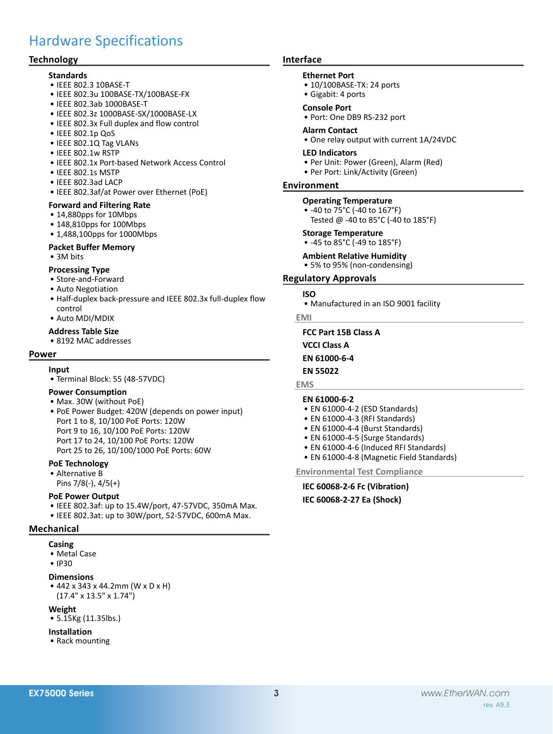# Hardware Specifications

# **Technology**

#### **Standards**

- • IEEE 802.3 10BASE-T
- • IEEE 802.3u 100BASE-TX/100BASE-FX
- • IEEE 802.3ab 1000BASE-T
- • IEEE 802.3z 1000BASE-SX/1000BASE-LX
- IEEE 802.3x Full duplex and flow control
- • IEEE 802.1p QoS
- • IEEE 802.1Q Tag VLANs
- • IEEE 802.1w RSTP
- IEEE 802.1x Port-based Network Access Control
- IFFF 802 1s MSTP
- • IEEE 802.3ad LACP
- • IEEE 802.3af/at Power over Ethernet (PoE)

### **Forward and Filtering Rate**

- 14,880pps for 10Mbps
- 148.810pps for 100Mbps
- 1,488,100pps for 1000Mbps

### **Packet Buffer Memory**

• 3M bits

### **Processing Type**

- • Store-and-Forward
- • Auto Negotiation
- Half-duplex back-pressure and IEEE 802.3x full-duplex flow control
- • Auto MDI/MDIX

### **Address Table Size**

• 8192 MAC addresses

### **Power**

#### **Input**

• Terminal Block: 55 (48-57VDC)

# **Power Consumption**

- • Max. 30W (without PoE)
- PoE Power Budget: 420W (depends on power input) Port 1 to 8, 10/100 PoE Ports: 120W Port 9 to 16, 10/100 PoE Ports: 120W Port 17 to 24, 10/100 PoE Ports: 120W Port 25 to 26, 10/100/1000 PoE Ports: 60W

### **PoE Technology**

• Alternative B Pins 7/8(-), 4/5(+)

#### **PoE Power Output**

- • IEEE 802.3af: up to 15.4W/port, 47-57VDC, 350mA Max.
- IEEE 802.3at: up to 30W/port, 52-57VDC, 600mA Max.

# **Mechanical**

- **Casing**
	- • Metal Case
	- IP30

# **Dimensions**

• 442 x 343 x 44.2mm (W x D x H) (17.4" x 13.5" x 1.74")

#### **Weight**

• 5.15Kg (11.35lbs.)

#### **Installation**

• Rack mounting

# **Interface**

#### **Ethernet Port**

- 10/100BASE-TX: 24 ports
- • Gigabit: 4 ports

#### **Console Port**

• Port: One DB9 RS-232 port

#### **Alarm Contact**

• One relay output with current 1A/24VDC

#### **LED Indicators**

- • Per Unit: Power (Green), Alarm (Red)
- Per Port: Link/Activity (Green)

### **Environment**

### **Operating Temperature**

• -40 to 75°C (-40 to 167°F) Tested @ -40 to 85°C (-40 to 185°F)

#### **Storage Temperature**

• -45 to 85°C (-49 to 185°F)

#### **Ambient Relative Humidity**

• 5% to 95% (non-condensing)

#### **Regulatory Approvals**

#### **ISO**

• Manufactured in an ISO 9001 facility

#### **EMI**

**FCC Part 15B Class A**

- **VCCI Class A**
- **EN 61000-6-4**
- **EN 55022**

### **EMS**

#### **EN 61000-6-2**

- • EN 61000-4-2 (ESD Standards)
- • EN 61000-4-3 (RFI Standards)
- EN 61000-4-4 (Burst Standards)
- EN 61000-4-5 (Surge Standards)
- EN 61000-4-6 (Induced RFI Standards)
- EN 61000-4-8 (Magnetic Field Standards)

**Environmental Test Compliance**

# **IEC 60068-2-6 Fc (Vibration)**

**IEC 60068-2-27 Ea (Shock)**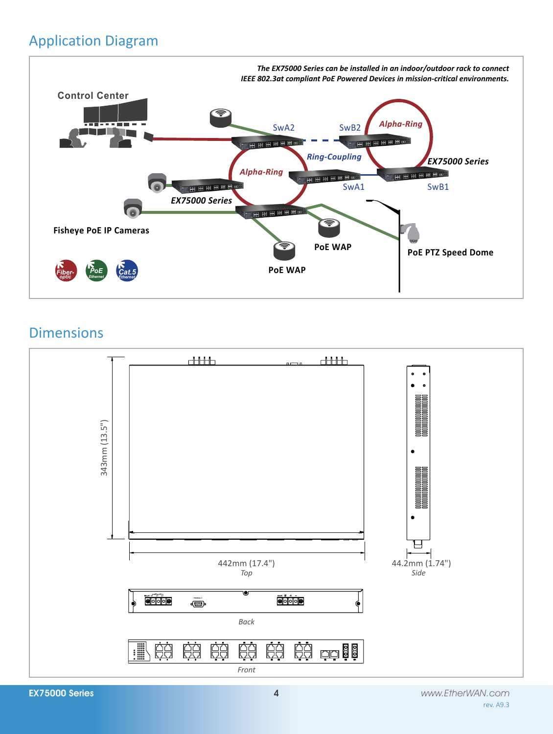# Application Diagram



# Dimensions